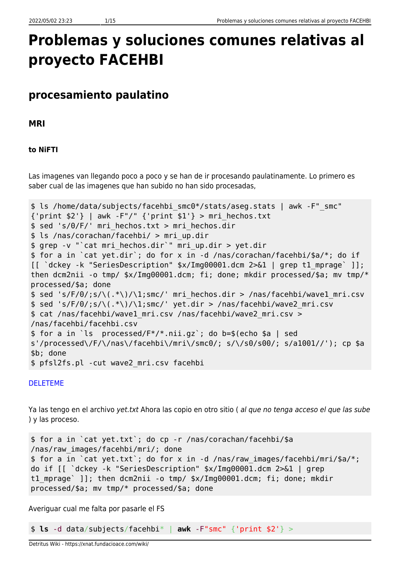# **Problemas y soluciones comunes relativas al proyecto FACEHBI**

## **procesamiento paulatino**

**MRI**

## **to NiFTI**

Las imagenes van llegando poco a poco y se han de ir procesando paulatinamente. Lo primero es saber cual de las imagenes que han subido no han sido procesadas,

```
$ ls /home/data/subjects/facehbi_smc0*/stats/aseg.stats | awk -F"_smc"
{\text{print $2$'}} | awk -F"/" {\text{print $1$'}} > mri hechos.txt
$ sed 's/0/F/' mri_hechos.txt > mri_hechos.dir
$ ls /nas/corachan/facehbi/ > mri_up.dir
$ grep -v "`cat mri_hechos.dir`" mri_up.dir > yet.dir
$ for a in `cat yet.dir`; do for x in -d /nas/corachan/facehbi/$a/*; do if
[[ `dckey -k "SeriesDescription" $x/Img00001.dcm 2>&1 | grep t1_mprage` ]];
then dcm2nii -o tmp/ $x/Img00001.dcm; fi; done; mkdir processed/$a; mv tmp/*
processed/$a; done
$ sed 's/F/0/;s/\(.*\)/\1;smc/' mri_hechos.dir > /nas/facehbi/wave1_mri.csv
$ sed 's/F/0/js/\\(.*))/1;smc/' yet-dir > /nas/facehbi/wave2 mri.csv$ cat /nas/facehbi/wave1_mri.csv /nas/facehbi/wave2_mri.csv >
/nas/facehbi/facehbi.csv
$ for a in `ls processed/F*/*.nii.gz`; do b=$(echo $a | sed
s'/processed\/F/\/nas\/facehbi\/mri\/smc0/; s/\/s0/s00/; s/a1001//'); cp $a
$b; done
$ pfsl2fs.pl -cut wave2_mri.csv facehbi
```
## [DELETEME](#page--1-0)

Ya las tengo en el archivo yet.txt Ahora las copio en otro sitio ( al que no tenga acceso el que las sube ) y las proceso.

\$ for a in `cat yet.txt`; do cp -r /nas/corachan/facehbi/\$a /nas/raw\_images/facehbi/mri/; done \$ for a in `cat yet.txt`; do for x in -d /nas/raw\_images/facehbi/mri/\$a/\*; do if [[ `dckey -k "SeriesDescription" \$x/Img00001.dcm 2>&1 | grep t1 mprage` ]]; then dcm2nii -o tmp/ \$x/Img00001.dcm; fi; done; mkdir processed/\$a; mv tmp/\* processed/\$a; done

Averiguar cual me falta por pasarle el FS

\$ **ls** -d data/subjects/facehbi\* | **awk** -F"smc" {'print \$2'} >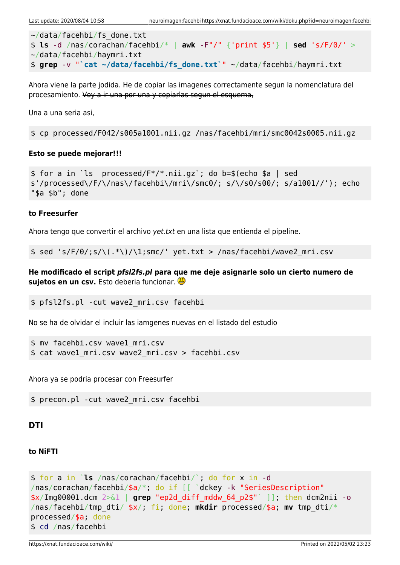```
~/data/facehbi/fs_done.txt
$ ls -d /nas/corachan/facehbi/* | awk -F"/" {'print $5'} | sed 's/F/0/' >
~/data/facehbi/haymri.txt
$ grep -v "`cat ~/data/facehbi/fs_done.txt`" ~/data/facehbi/haymri.txt
```
Ahora viene la parte jodida. He de copiar las imagenes correctamente segun la nomenclatura del procesamiento. Voy a ir una por una y copiarlas segun el esquema,

Una a una seria asi,

\$ cp processed/F042/s005a1001.nii.gz /nas/facehbi/mri/smc0042s0005.nii.gz

## **Esto se puede mejorar!!!**

```
$ for a in `ls processed/F*/*.nii.gz`; do b=$(echo $a | sed
s'/processed\/F/\/nas\/facehbi\/mri\/smc0/; s/\/s0/s00/; s/a1001//'); echo
"$a $b"; done
```
## **to Freesurfer**

Ahora tengo que convertir el archivo yet.txt en una lista que entienda el pipeline.

\$ sed 's/F/0/;s/\(.\*\)/\1;smc/' yet.txt > /nas/facehbi/wave2\_mri.csv

**He modificado el script** *pfsl2fs.pl* **para que me deje asignarle solo un cierto numero de sujetos en un csv.** Esto deberia funcionar.

```
$ pfsl2fs.pl -cut wave2_mri.csv facehbi
```
No se ha de olvidar el incluir las iamgenes nuevas en el listado del estudio

```
$ mv facehbi.csv wave1_mri.csv
$ cat wave1_mri.csv wave2_mri.csv > facehbi.csv
```
Ahora ya se podria procesar con Freesurfer

\$ precon.pl -cut wave2\_mri.csv facehbi

## **DTI**

## **to NiFTI**

```
$ for a in `ls /nas/corachan/facehbi/`; do for x in -d
/nas/corachan/facehbi/$a/*; do if [[ `dckey -k "SeriesDescription"
$x/Img00001.dcm 2>&1 | grep "ep2d_diff_mddw_64_p2$"` ]]; then dcm2nii -o
/nas/facehbi/tmp_dti/ $x/; fi; done; mkdir processed/$a; mv tmp_dti/*
processed/$a; done
$ cd /nas/facehbi
```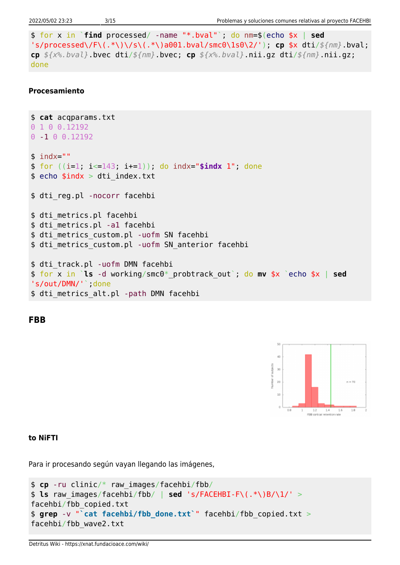```
$ for x in `find processed/ -name "*.bval"`; do nm=$(echo $x | sed
's/processed\/F\(.*\)\/s\(.*\)a001.bval/smc0\1s0\2/'); cp $x dti/${nm}.bval;
cp ${x%.bval}.bvec dti/${nm}.bvec; cp ${x%.bval}.nii.gz dti/${nm}.nii.gz;
done
```
#### **Procesamiento**

```
$ cat acqparams.txt
0 1 0 0.12192
0 -1 0 0.12192
$ indx=""
$ for ((i=1; i<=143; i+=1)); do indx="$indx 1"; done
$ echo $indx > dti index.txt
$ dti reg.pl -nocorr facehbi
$ dti metrics.pl facehbi
$ dti metrics.pl -a1 facehbi
$ dti metrics custom.pl -uofm SN facehbi
$ dti_metrics_custom.pl -uofm SN_anterior facehbi
$ dti_track.pl -uofm DMN facehbi
$ for x in `ls -d working/smc0*_probtrack_out`; do mv $x `echo $x | sed
's/out/DMN/'`;done
$ dti_metrics_alt.pl -path DMN facehbi
```
**FBB**



## **to NiFTI**

Para ir procesando según vayan llegando las imágenes,

```
$ cp -ru clinic/* raw_images/facehbi/fbb/
$ ls raw_images/facehbi/fbb/ | sed 's/FACEHBI-F\(.*\)B/\1/' >
facehbi/fbb_copied.txt
$ grep -v "`cat facehbi/fbb_done.txt`" facehbi/fbb_copied.txt >
facehbi/fbb_wave2.txt
```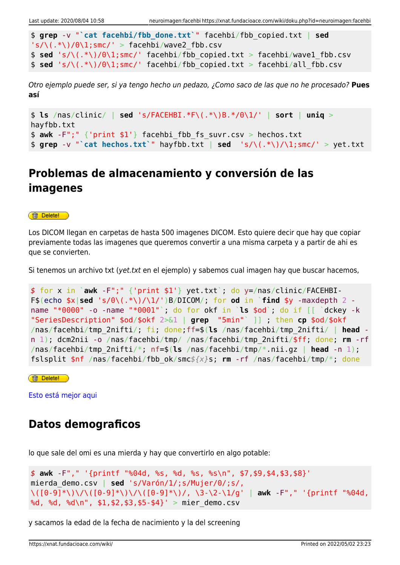```
$ grep -v "`cat facehbi/fbb_done.txt`" facehbi/fbb_copied.txt | sed
's/\(\cdot\*)/0\1;smc/' > facehbi/wave2 fbb.csv
$ sed 's/\(.*\)/0\1;smc/' facehbi/fbb_copied.txt > facehbi/wave1_fbb.csv
$ sed 's/\\(.*)/0\\1;smc/' facehbi/fbb copied.txt > facehbi/all fbb.csv
```
Otro ejemplo puede ser, si ya tengo hecho un pedazo, ¿Como saco de las que no he procesado? **Pues así**

```
$ ls /nas/clinic/ | sed 's/FACEHBI.*F\(.*\)B.*/0\1/' | sort | uniq >
hayfbb.txt
$ awk -F";" {'print $1'} facehbi_fbb_fs_suvr.csv > hechos.txt
$ grep -v "`cat hechos.txt`" hayfbb.txt | sed 's/\(.*\)/\1;smc/' > yet.txt
```
## **Problemas de almacenamiento y conversión de las imagenes**

#### **for** Delete!

Los DICOM llegan en carpetas de hasta 500 imagenes DICOM. Esto quiere decir que hay que copiar previamente todas las imagenes que queremos convertir a una misma carpeta y a partir de ahi es que se convierten.

Si tenemos un archivo txt (yet.txt en el ejemplo) y sabemos cual imagen hay que buscar hacemos,

```
$ for x in `awk -F";" {'print $1'} yet.txt`; do y=/nas/clinic/FACEHBI-
F\$(echo \$x\ sed 's/0\((.*\)/1/')B/DICOM; for od in `find \$y -maxdepth 2 -
name "*0000" -o -name "*0001"`; do for okf in `ls $od`; do if [[ `dckey -k
"SeriesDescription" $od/$okf 2>&1 | grep "5min"` ]] ; then cp $od/$okf
/nas/facehbi/tmp_2nifti/; fi; done;ff=$(ls /nas/facehbi/tmp_2nifti/ | head -
n 1); dcm2nii -o /nas/facehbi/tmp/ /nas/facehbi/tmp_2nifti/$ff; done; rm -rf
/nas/facehbi/tmp_2nifti/*; nf=$(ls /nas/facehbi/tmp/*.nii.gz | head -n 1);
fslsplit $nf /nas/facehbi/fbb_ok/smc${x}s; rm -rf /nas/facehbi/tmp/*; done
```
**ff** Delete!

[Esto está mejor aqui](https://xnat.fundacioace.com/wiki/doku.php?id=neuroimagen:fbb)

## **Datos demograficos**

lo que sale del omi es una mierda y hay que convertirlo en algo potable:

```
$ awk -F"," '{printf "%04d, %s, %d, %s, %s\n", $7,$9,$4,$3,$8}'
mierda_demo.csv | sed 's/Varón/1/;s/Mujer/0/;s/,
\([0-9]*\)\/\([0-9]*\)\/\([0-9]*\)/, \3-\2-\1/g' | awk -F"," '{printf "%04d,
%d, %d, %d\n", $1,$2,$3,$5-$4}' > mier demo.csv
```
y sacamos la edad de la fecha de nacimiento y la del screening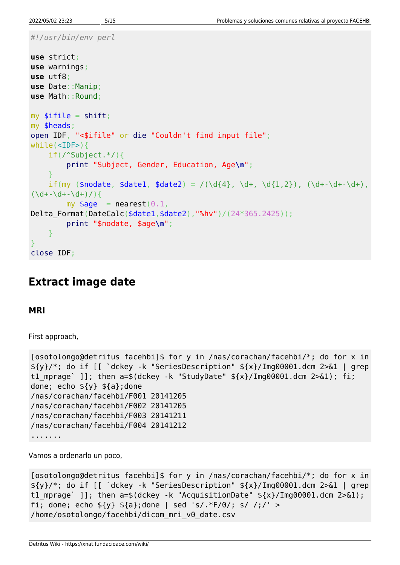```
#!/usr/bin/env perl
```

```
use strict;
use warnings;
use utf8;
use Date::Manip;
use Math::Round;
mvshift;
my $heads;
open IDF, "<$ifile" or die "Couldn't find input file";
while(<IDF>){
     if(/^Subject.*/){
         print "Subject, Gender, Education, Age\n";
     }
    if(my ($nodate, $data1, $data2) = /(\d{4}, \d+, \d{1,2}), (\d+-\d+-\d+),(\dagger\ddot{\theta} + d)my $age = nearest(0.1,
Delta_Format(DateCalc($date1,$date2),"%hv")/(24*365.2425));
         print "$nodate, $age\n";
     }
}
close IDF;
```
## **Extract image date**

**MRI**

First approach,

```
[osotolongo@detritus facehbi]$ for y in /nas/corachan/facehbi/*; do for x in
${y}/*; do if [[ `dckey -k "SeriesDescription" ${x}/Img00001.dcm 2>&1 | grep
t1 mprage` ]]; then a=$(dckey -k "StudyDate" ${x}/Img00001.dcm 2>&1); fi;
done; echo ${y} ${a};done
/nas/corachan/facehbi/F001 20141205
/nas/corachan/facehbi/F002 20141205
/nas/corachan/facehbi/F003 20141211
/nas/corachan/facehbi/F004 20141212
.......
```
Vamos a ordenarlo un poco,

```
[osotolongo@detritus facehbi]$ for y in /nas/corachan/facehbi/*; do for x in
${y}/*; do if [[ `dckey -k "SeriesDescription" ${x}/Img00001.dcm 2>&1 | grep
t1 mprage` ]]; then a=$(dckey -k "AcquisitionDate" \frac{2}{\lambda}/Img00001.dcm 2>&1);
fi; done; echo \S{y} \S{a};done | sed 's/.*F/0/; s/ /;/' >
/home/osotolongo/facehbi/dicom_mri_v0_date.csv
```
Detritus Wiki - https://xnat.fundacioace.com/wiki/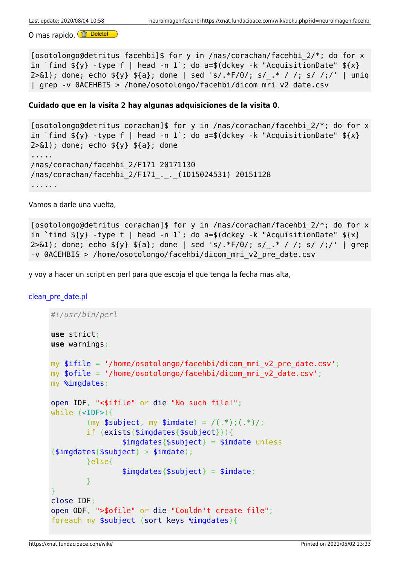O mas rapido, **fa Delete!** 

[osotolongo@detritus facehbi]\$ for y in /nas/corachan/facehbi 2/\*; do for x in `find  $\S\{v\}$  -type f | head -n 1 ; do a=\$(dckey -k "AcquisitionDate"  $\S\{x\}$ 2>&1); done; echo \${y} \${a}; done | sed 's/.\*F/0/; s/\_.\* / /; s/ /;/' | uniq | grep -v 0ACEHBIS > /home/osotolongo/facehbi/dicom\_mri\_v2\_date.csv

## **Cuidado que en la visita 2 hay algunas adquisiciones de la visita 0**.

```
[osotolongo@detritus corachan]$ for y in /nas/corachan/facehbi_2/*; do for x
in `find \S{y} -type f | head -n 1 ; do a=$(dckey -k "AcquisitionDate" \S{x}2 > 61; done; echo \frac{1}{2} {\frac{1}{2}}; done
.....
/nas/corachan/facehbi_2/F171 20171130
/nas/corachan/facehbi_2/F171_._._(1D15024531) 20151128
......
```
Vamos a darle una vuelta,

[osotolongo@detritus corachan]\$ for y in /nas/corachan/facehbi\_2/\*; do for x in `find  $\S{y}$  -type f | head -n 1 ; do a=\$(dckey -k "AcquisitionDate"  $\S{x}$ 2>&1); done; echo \${y} \${a}; done | sed 's/.\*F/0/; s/\_.\* / /; s/ /;/' | grep -v 0ACEHBIS > /home/osotolongo/facehbi/dicom\_mri\_v2\_pre\_date.csv

y voy a hacer un script en perl para que escoja el que tenga la fecha mas alta,

[clean\\_pre\\_date.pl](https://xnat.fundacioace.com/wiki/doku.php?do=export_code&id=neuroimagen:facehbi&codeblock=21)

```
#!/usr/bin/perl
use strict;
use warnings;
my $ifile = '}/home/osotolongo/facehbi/dicom mri v2 pre date.csv';my \text{fofile} = \text{home/osotolongo/facehbi/dicom mri} v2 date.csv';
my %imgdates;
open IDF, "<$ifile" or die "No such file!";
while (<IDF>){
         (my \text{subject}, \text{my} \text{simdate}) = \text{/(.*)}; (\cdot^*)/\text{;} if (exists($imgdates{$subject})){
                  $img dates {$subject} = $imdate unless
(simg dates {ssubject} > simal);
          }else{
                  $img dates {$subject} = $imdate;
          }
}
close IDF;
open ODF, ">$ofile" or die "Couldn't create file";
foreach my $subject (sort keys %imgdates){
```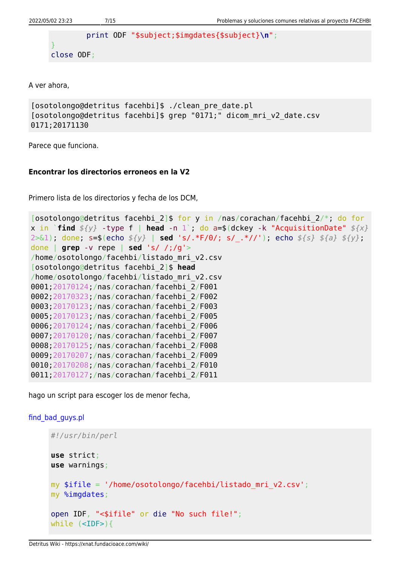```
 print ODF "$subject;$imgdates{$subject}\n";
}
close ODF;
```
A ver ahora,

```
[osotolongo@detritus facehbi]$ ./clean_pre_date.pl
[osotolongo@detritus facehbi]$ grep "0171;" dicom_mri_v2_date.csv
0171;20171130
```
Parece que funciona.

## **Encontrar los directorios erroneos en la V2**

Primero lista de los directorios y fecha de los DCM,

```
[osotolongo@detritus facehbi_2]$ for y in /nas/corachan/facehbi_2/*; do for
x in `find ${y} -type f | head -n 1`; do a=$(dckey -k "AcquisitionDate" ${x}
2>&1); done; s=$(echo ${y} | sed 's/.*F/0/; s/_.*//'); echo ${s} ${a} ${y};
done | grep -v repe | sed 's/ /;/g'>
/home/osotolongo/facehbi/listado_mri_v2.csv
[osotolongo@detritus facehbi_2]$ head
/home/osotolongo/facehbi/listado_mri_v2.csv
0001;20170124;/nas/corachan/facehbi_2/F001
0002;20170323;/nas/corachan/facehbi_2/F002
0003;20170123;/nas/corachan/facehbi_2/F003
0005;20170123;/nas/corachan/facehbi_2/F005
0006;20170124;/nas/corachan/facehbi_2/F006
0007;20170120;/nas/corachan/facehbi_2/F007
0008;20170125;/nas/corachan/facehbi_2/F008
0009;20170207;/nas/corachan/facehbi_2/F009
0010;20170208;/nas/corachan/facehbi_2/F010
0011;20170127;/nas/corachan/facehbi_2/F011
```
hago un script para escoger los de menor fecha,

## [find\\_bad\\_guys.pl](https://xnat.fundacioace.com/wiki/doku.php?do=export_code&id=neuroimagen:facehbi&codeblock=24)

```
#!/usr/bin/perl
use strict;
use warnings;
my $ifile = '/home/osotolongo/facehbi/listado_mri_v2.csv';
my %imgdates;
open IDF, "<$ifile" or die "No such file!";
while (<IDF>){
```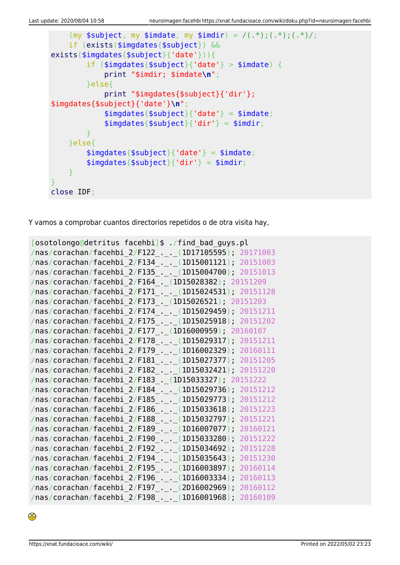```
(my \text{subject}, \text{my } \text{simdate}, \text{my } \text{simdir} = /(.*);(.*);(.*) if (exists($imgdates{$subject}) &&
exists($imgdates{$subject}{'date'})){
         if ($imgdates{$subject}{'date'} > $imdate) {
              print "$imdir; $imdate\n";
         }else{
              print "$imgdates{$subject}{'dir'};
$imgdates{$subject}{'date'}\n";
             $img dates{$subject}{'date'} = $imdate;$imgdates{$subject}{'dir'} = $imdir;
 }
     }else{
          $imgdates{$subject}{'date'} = $imdate;
         $img dates {$subject}{'dir'} = $imdir;
     }
}
close IDF;
```
Y vamos a comprobar cuantos directorios repetidos o de otra visita hay,

```
[osotolongo@detritus facehbi]$ ./find_bad_guys.pl
/nas/corachan/facehbi_2/F122_._._(1D17105595); 20171003
/nas/corachan/facehbi_2/F134_._._(1D15001121); 20151003
/nas/corachan/facehbi_2/F135_._._(1D15004700); 20151013
/nas/corachan/facehbi_2/F164_._(1D15028382); 20151209
/nas/corachan/facehbi_2/F171_._._(1D15024531); 20151128
/nas/corachan/facehbi_2/F173_._(1D15026521); 20151203
/nas/corachan/facehbi_2/F174_._._(1D15029459); 20151211
/nas/corachan/facehbi_2/F175_._._(1D15025918); 20151202
/nas/corachan/facehbi_2/F177_._(1D16000959); 20160107
/nas/corachan/facehbi_2/F178_._._(1D15029317); 20151211
/nas/corachan/facehbi_2/F179_._._(1D16002329); 20160111
/nas/corachan/facehbi_2/F181_._._(1D15027377); 20151205
/nas/corachan/facehbi_2/F182_._._(1D15032421); 20151220
/nas/corachan/facehbi_2/F183_._(1D15033327); 20151222
/nas/corachan/facehbi_2/F184_._._(1D15029736); 20151212
/nas/corachan/facehbi_2/F185_._._(1D15029773); 20151212
/nas/corachan/facehbi_2/F186_._._(1D15033618); 20151223
/nas/corachan/facehbi_2/F188_._._(1D15032797); 20151221
/nas/corachan/facehbi_2/F189_._._(1D16007077); 20160121
/nas/corachan/facehbi_2/F190_._._(1D15033280); 20151222
/nas/corachan/facehbi_2/F192_._._(1D15034692); 20151228
/nas/corachan/facehbi_2/F194_._._(1D15035643); 20151230
/nas/corachan/facehbi_2/F195_._._(1D16003897); 20160114
/nas/corachan/facehbi_2/F196_._._(1D16003334); 20160113
/nas/corachan/facehbi_2/F197_._._(2D16002969); 20160112
/nas/corachan/facehbi_2/F198_._._(1D16001968); 20160109
```
◉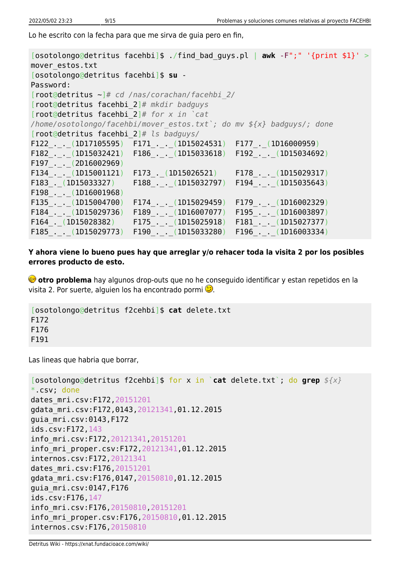Lo he escrito con la fecha para que me sirva de guia pero en fin,

[osotolongo@detritus facehbi]\$ ./find\_bad\_guys.pl | **awk** -F";" '{print \$1}' > mover\_estos.txt [osotolongo@detritus facehbi]\$ **su** - Password: [root@detritus ~]*# cd /nas/corachan/facehbi\_2/* [root@detritus facehbi\_2]*# mkdir badguys* [root@detritus facehbi\_2]*# for x in `cat /home/osotolongo/facehbi/mover\_estos.txt`; do mv \${x} badguys/; done* [root@detritus facehbi\_2]*# ls badguys/* F122 . . (1D17105595) F171 . . (1D15024531) F177 . (1D16000959) F182\_.\_.\_(1D15032421) F186\_.\_.\_(1D15033618) F192\_.\_.\_(1D15034692) F197\_.\_.\_(2D16002969) F134\_.\_.\_(1D15001121) F173\_.\_(1D15026521) F178\_.\_.\_(1D15029317) F183\_.\_(1D15033327) F188\_.\_.\_(1D15032797) F194\_.\_.\_(1D15035643) F198\_.\_.\_(1D16001968) F135\_.\_.\_(1D15004700) F174\_.\_.\_(1D15029459) F179\_.\_.\_(1D16002329)  $F184_-.(-1D15029736)$   $F189_-.(-1D16007077)$   $F195_-.(-1D16003897)$ <br> $F164_-.(1D15028382)$   $F175_-.(-1D15025918)$   $F181_-.(-1D15027377)$  $F164$ <sub>--</sub>(1D15028382)  $F175$ <sub>---</sub>(1D15025918) F185 . . (1D15029773) F190 . . (1D15033280) F196 . . (1D16003334)

**Y ahora viene lo bueno pues hay que arreglar y/o rehacer toda la visita 2 por los posibles errores producto de esto.**

**otro problema** hay algunos drop-outs que no he conseguido identificar y estan repetidos en la visita 2. Por suerte, alguien los ha encontrado pormi $\mathbb{C}$ .

```
[osotolongo@detritus f2cehbi]$ cat delete.txt
F172
F176
F191
```
Las lineas que habria que borrar,

```
[osotolongo@detritus f2cehbi]$ for x in `cat delete.txt`; do grep ${x}
*.csv; done
dates_mri.csv:F172,20151201
gdata_mri.csv:F172,0143,20121341,01.12.2015
guia_mri.csv:0143,F172
ids.csv:F172,143
info_mri.csv:F172,20121341,20151201
info_mri_proper.csv:F172,20121341,01.12.2015
internos.csv:F172,20121341
dates_mri.csv:F176,20151201
gdata_mri.csv:F176,0147,20150810,01.12.2015
guia_mri.csv:0147,F176
ids.csv:F176,147
info_mri.csv:F176,20150810,20151201
info_mri_proper.csv:F176,20150810,01.12.2015
internos.csv:F176,20150810
```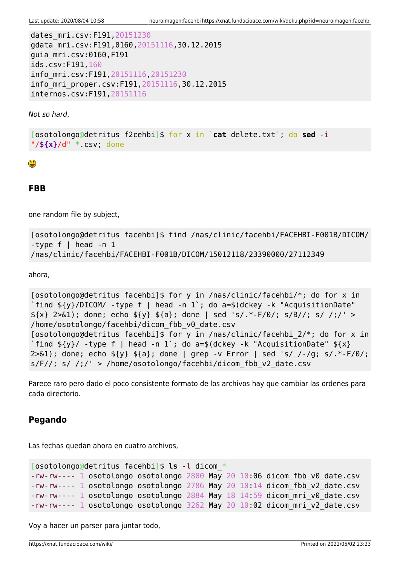dates\_mri.csv:F191,20151230 gdata\_mri.csv:F191,0160,20151116,30.12.2015 guia\_mri.csv:0160,F191 ids.csv:F191,160 info\_mri.csv:F191,20151116,20151230 info\_mri\_proper.csv:F191,20151116,30.12.2015 internos.csv:F191,20151116

Not so hard,

[osotolongo@detritus f2cehbi]\$ for x in `**cat** delete.txt`; do **sed** -i "/**\${x}**/d" \*.csv; done

## **FBB**

one random file by subject,

```
[osotolongo@detritus facehbi]$ find /nas/clinic/facehbi/FACEHBI-F001B/DICOM/
-type f \mid head -n 1
/nas/clinic/facehbi/FACEHBI-F001B/DICOM/15012118/23390000/27112349
```
ahora,

```
[osotolongo@detritus facehbi]$ for y in /nas/clinic/facehbi/*; do for x in
`find ${y}/DICOM/ -type f | head -n 1`; do a=$(dckey -k "AcquisitionDate"
{\frac{1}{2}} 2>&1); done; echo {\frac{1}{2}} {\frac{1}{2} ${a}; done | sed 's/.*-F/0/; s/B//; s/ /;/' >
/home/osotolongo/facehbi/dicom_fbb_v0_date.csv
[osotolongo@detritus facehbi]$ for y in /nas/clinic/facehbi 2/*; do for x in
`find \frac{f}{f} -type f | head -n 1`; do a=$(dckey -k "AcquisitionDate" f{x}2>61; done; echo \{y\} \{a\}; done | grep -v Error | sed 's//-/g; s/.*-F/0/;
s/F//; s/ /;/' > /home/osotolongo/facehbi/dicom fbb v2 date.csv
```
Parece raro pero dado el poco consistente formato de los archivos hay que cambiar las ordenes para cada directorio.

## **Pegando**

Las fechas quedan ahora en cuatro archivos,

```
[osotolongo@detritus facehbi]$ ls -l dicom_*
-rw-rw---- 1 osotolongo osotolongo 2800 May 20 10:06 dicom_fbb_v0_date.csv
-rw-rw---- 1 osotolongo osotolongo 2786 May 20 10:14 dicom fbb v2 date.csv
-rw-rw---- 1 osotolongo osotolongo 2884 May 18 14:59 dicom_mri_v0_date.csv
-rw-rw---- 1 osotolongo osotolongo 3262 May 20 10:02 dicom_mri_v2_date.csv
```
Voy a hacer un parser para juntar todo,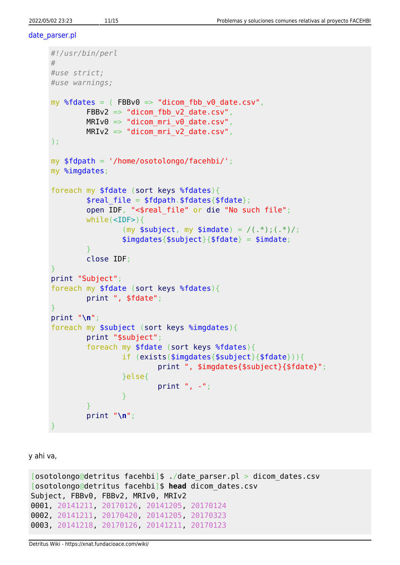#### [date\\_parser.pl](https://xnat.fundacioace.com/wiki/doku.php?do=export_code&id=neuroimagen:facehbi&codeblock=33)

```
#!/usr/bin/perl
#
#use strict;
#use warnings;
my %fdates = ( FBBv0 \Rightarrow "dicom fbb v0 date.csv",
         FBBv2 => "dicom_fbb_v2_date.csv",
        MRIv0 \implies "dicom mri v0 date.csv",MRIv2 \implies "dicom mri v2 date.csv",);
my $fdpath = '/home/osotolongo/facehbi/';
my %imgdates;
foreach my $fdate (sort keys %fdates){
        $real file = $fdpath. $fdates{$fdate}; open IDF, "<$real_file" or die "No such file";
         while(<IDF>){
                 (my $subject, my $imdate) = / (.*); (.*)/;$img dates{$subject}{$fdate} = $imdate; }
         close IDF;
}
print "Subject";
foreach my $fdate (sort keys %fdates){
         print ", $fdate";
}
print "\n";
foreach my $subject (sort keys %imgdates){
         print "$subject";
         foreach my $fdate (sort keys %fdates){
                  if (exists($imgdates{$subject}{$fdate})){
                           print ", $imgdates{$subject}{$fdate}";
                  }else{
                           print ", -";
\{x_i\}_{i=1}^n , where \{x_i\}_{i=1}^n }
         print "\n";
}
```
y ahi va,

```
[osotolongo@detritus facehbi]$ ./date_parser.pl > dicom_dates.csv
[osotolongo@detritus facehbi]$ head dicom_dates.csv
Subject, FBBv0, FBBv2, MRIv0, MRIv2
0001, 20141211, 20170126, 20141205, 20170124
0002, 20141211, 20170420, 20141205, 20170323
0003, 20141218, 20170126, 20141211, 20170123
```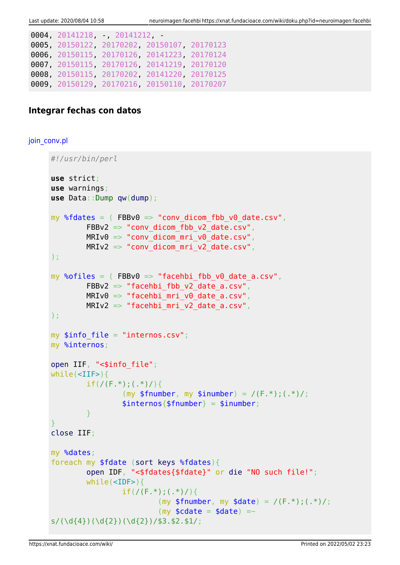```
0004, 20141218, -, 20141212, -
0005, 20150122, 20170202, 20150107, 20170123
0006, 20150115, 20170126, 20141223, 20170124
0007, 20150115, 20170126, 20141219, 20170120
0008, 20150115, 20170202, 20141220, 20170125
0009, 20150129, 20170216, 20150110, 20170207
```
## **Integrar fechas con datos**

## join conv.pl

```
#!/usr/bin/perl
use strict;
use warnings;
use Data::Dump qw(dump);
my %fdates = (FBBv0 \implies "conv dicom fbb v0 date.csv",
         FBBv2 \Rightarrow "conv dicom fbb v2 date.csv",
        MRIv0 \implies "conv\,dicom\,mri\,v0\,date.csv",MRIv2 => "conv dicom mri v2 date.csv",
);
my %ofiles = (FBBV0 \implies "facehbi fbb v0 date a.csv",
         FBBv2 => "facehbi_fbb_v2_date_a.csv",
        MRIv0 \implies "facehbi mri v0 date a.csv",MRIv2 => "facehbi_mri_v2 date a.csv",
);
my $info file = "internos.csv";
my %internos;
open IIF, "<$info_file";
while (<IIF>)if(/(F.*);(.*)/){
                  (my $fnumber, my $inumber) = / (F.*); (.*)/;$internos{$fnumber} = $inumber; }
}
close IIF;
my %dates;
foreach my $fdate (sort keys %fdates){
          open IDF, "<$fdates{$fdate}" or die "NO such file!";
         while(<IDF>){
                 if(/(F.*);(.*)/){
                          (my $fnumber, my \$date) = / (F.*); (.*)/;(my \text{Scdate} = \text{Sdate}) =~
s/(\d{4})(\d{2})(\d{2})(\d{2})/53.52.51/;
```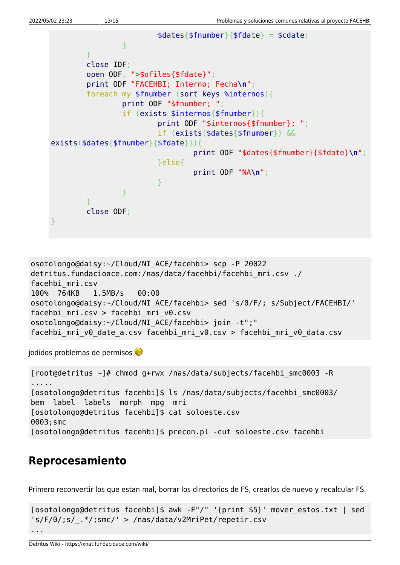

```
osotolongo@daisy:~/Cloud/NI_ACE/facehbi> scp -P 20022
detritus.fundacioace.com:/nas/data/facehbi/facehbi_mri.csv ./
facehbi_mri.csv
100% 764KB 1.5MB/s 00:00
osotolongo@daisy:~/Cloud/NI_ACE/facehbi> sed 's/0/F/; s/Subject/FACEHBI/'
facehbi_mri.csv > facehbi_mri_v0.csv
osotolongo@daisy:~/Cloud/NI_ACE/facehbi> join -t";"
facehbi mri v0 date a.csv facehbi mri v0.csv > facehbi mri v0 data.csv
```
jodidos problemas de permisos

[root@detritus ~]# chmod g+rwx /nas/data/subjects/facehbi\_smc0003 -R ..... [osotolongo@detritus facehbi]\$ ls /nas/data/subjects/facehbi\_smc0003/ bem label labels morph mpg mri [osotolongo@detritus facehbi]\$ cat soloeste.csv 0003;smc [osotolongo@detritus facehbi]\$ precon.pl -cut soloeste.csv facehbi

## **Reprocesamiento**

Primero reconvertir los que estan mal, borrar los directorios de FS, crearlos de nuevo y recalcular FS.

```
[osotolongo@detritus facehbi]$ awk -F"/" '{print $5}' mover_estos.txt | sed
's/F/0/;s/_.*/;smc/' > /nas/data/v2MriPet/repetir.csv
...
```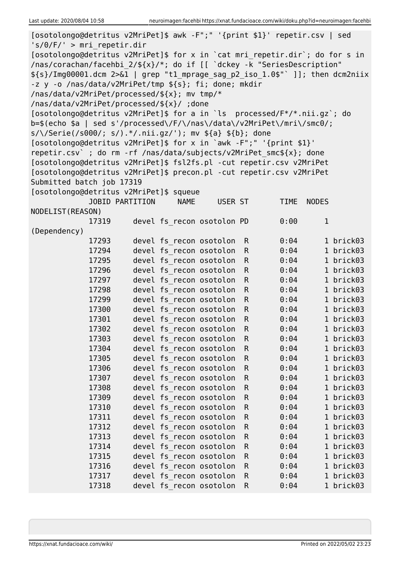| [osotolongo@detritus v2MriPet]\$ for x in `cat mri_repetir.dir`; do for s in<br>/nas/corachan/facehbi 2/\${x}/*; do if [[ `dckey -k "SeriesDescription"<br>\${s}/Img00001.dcm 2>&1   grep "t1_mprage_sag_p2_iso_1.0\$"` ]]; then dcm2niix<br>-z y -o /nas/data/v2MriPet/tmp \${s}; fi; done; mkdir<br>/nas/data/v2MriPet/processed/\${x}; mv tmp/*<br>/nas/data/v2MriPet/processed/\${x}/ ;done<br>[osotolongo@detritus v2MriPet]\$ for a in `ls processed/F*/*.nii.gz'; do<br>b=\$(echo \$a   sed s'/processed\/F/\/nas\/data\/v2MriPet\/mri\/smc0/;<br>$s/\sqrt{5}$ erie(/s000/; s/).*/.nii.gz/'); mv \${a} \${b}; done<br>[osotolongo@detritus v2MriPet]\$ for x in `awk -F";" '{print \$1}'<br>repetir.csv` ; do rm - rf /nas/data/subjects/v2MriPet smc\${x}; done<br>[osotolongo@detritus v2MriPet]\$ fsl2fs.pl -cut repetir.csv v2MriPet<br>[osotolongo@detritus v2MriPet]\$ precon.pl -cut repetir.csv v2MriPet<br>Submitted batch job 17319<br>[osotolongo@detritus v2MriPet]\$ squeue<br><b>JOBID PARTITION</b><br><b>NAME</b><br>USER ST<br><b>TIME</b><br><b>NODES</b><br>NODELIST (REASON)<br>devel fs_recon osotolon PD<br>0:00<br>$\mathbf 1$<br>17319<br>(Dependency)<br>1 brick03<br>17293<br>devel fs recon osotolon<br>0:04<br>$\mathsf{R}$<br>devel fs recon osotolon<br>0:04<br>1 brick03<br>17294<br>$\mathsf{R}$<br>devel fs recon osotolon<br>1 brick03<br>17295<br>$\mathsf{R}$<br>0:04<br>devel fs recon osotolon<br>17296<br>$\mathsf{R}$<br>0:04<br>1 brick03<br>devel fs_recon osotolon<br>1 brick03<br>17297<br>$\mathsf{R}$<br>0:04<br>devel fs recon osotolon<br>1 brick03<br>17298<br>$\mathsf R$<br>0:04<br>devel fs recon osotolon<br>1 brick03<br>17299<br>$\mathsf{R}$<br>0:04<br>devel fs recon osotolon<br>1 brick03<br>17300<br>$\mathsf{R}$<br>0:04<br>devel fs_recon osotolon<br>$\mathsf{R}$<br>0:04<br>1 brick03<br>17301<br>17302<br>devel fs recon osotolon<br>1 brick03<br>$\mathsf{R}$<br>0:04<br>17303<br>devel fs recon osotolon<br>0:04<br>1 brick03<br>R<br>devel fs recon osotolon<br>17304<br>${\sf R}$<br>0:04<br>1 brick03<br>devel fs recon osotolon<br>$\mathsf R$<br>0:04<br>1 brick03<br>17305<br>devel fs recon osotolon<br>$\mathsf{R}$<br>0:04<br>1 brick03<br>17306<br>devel fs recon osotolon<br>${\sf R}$<br>0:04<br>1 brick03<br>17307<br>devel fs_recon osotolon<br>${\sf R}$<br>0:04<br>17308<br>1 brick03<br>devel fs recon osotolon<br>$\mathsf R$<br>0:04<br>1 brick03<br>17309<br>devel fs recon osotolon<br>$\mathsf R$<br>0:04<br>1 brick03<br>17310<br>devel fs recon osotolon<br>${\sf R}$<br>17311<br>0:04<br>1 brick03<br>devel fs recon osotolon<br>${\sf R}$<br>1 brick03<br>17312<br>0:04<br>devel fs recon osotolon<br>${\sf R}$<br>0:04<br>1 brick03<br>17313<br>devel fs recon osotolon<br>$\mathsf R$<br>0:04<br>1 brick03<br>17314<br>devel fs recon osotolon<br>${\sf R}$<br>0:04<br>17315<br>1 brick03<br>${\sf R}$<br>devel fs recon osotolon<br>0:04<br>1 brick03<br>17316<br>devel fs recon osotolon<br>$\mathsf{R}$<br>0:04<br>1 brick03<br>17317 | [osotolongo@detritus v2MriPet]\$ awk -F";" '{print \$1}' repetir.csv   sed |  |  |  |              |      |           |  |
|------------------------------------------------------------------------------------------------------------------------------------------------------------------------------------------------------------------------------------------------------------------------------------------------------------------------------------------------------------------------------------------------------------------------------------------------------------------------------------------------------------------------------------------------------------------------------------------------------------------------------------------------------------------------------------------------------------------------------------------------------------------------------------------------------------------------------------------------------------------------------------------------------------------------------------------------------------------------------------------------------------------------------------------------------------------------------------------------------------------------------------------------------------------------------------------------------------------------------------------------------------------------------------------------------------------------------------------------------------------------------------------------------------------------------------------------------------------------------------------------------------------------------------------------------------------------------------------------------------------------------------------------------------------------------------------------------------------------------------------------------------------------------------------------------------------------------------------------------------------------------------------------------------------------------------------------------------------------------------------------------------------------------------------------------------------------------------------------------------------------------------------------------------------------------------------------------------------------------------------------------------------------------------------------------------------------------------------------------------------------------------------------------------------------------------------------------------------------------------------------------------------------------------------------------------------------------------------------------------------------------------------------------------------------------------------------------------------------------------------------------------------------------------------------------------------------------------------------------------------------------------------------------------------------------------------------------------------------------------------------------------------------------------------------|----------------------------------------------------------------------------|--|--|--|--------------|------|-----------|--|
|                                                                                                                                                                                                                                                                                                                                                                                                                                                                                                                                                                                                                                                                                                                                                                                                                                                                                                                                                                                                                                                                                                                                                                                                                                                                                                                                                                                                                                                                                                                                                                                                                                                                                                                                                                                                                                                                                                                                                                                                                                                                                                                                                                                                                                                                                                                                                                                                                                                                                                                                                                                                                                                                                                                                                                                                                                                                                                                                                                                                                                                | $'s/0/F/$ ' > mri repetir.dir                                              |  |  |  |              |      |           |  |
|                                                                                                                                                                                                                                                                                                                                                                                                                                                                                                                                                                                                                                                                                                                                                                                                                                                                                                                                                                                                                                                                                                                                                                                                                                                                                                                                                                                                                                                                                                                                                                                                                                                                                                                                                                                                                                                                                                                                                                                                                                                                                                                                                                                                                                                                                                                                                                                                                                                                                                                                                                                                                                                                                                                                                                                                                                                                                                                                                                                                                                                |                                                                            |  |  |  |              |      |           |  |
|                                                                                                                                                                                                                                                                                                                                                                                                                                                                                                                                                                                                                                                                                                                                                                                                                                                                                                                                                                                                                                                                                                                                                                                                                                                                                                                                                                                                                                                                                                                                                                                                                                                                                                                                                                                                                                                                                                                                                                                                                                                                                                                                                                                                                                                                                                                                                                                                                                                                                                                                                                                                                                                                                                                                                                                                                                                                                                                                                                                                                                                |                                                                            |  |  |  |              |      |           |  |
|                                                                                                                                                                                                                                                                                                                                                                                                                                                                                                                                                                                                                                                                                                                                                                                                                                                                                                                                                                                                                                                                                                                                                                                                                                                                                                                                                                                                                                                                                                                                                                                                                                                                                                                                                                                                                                                                                                                                                                                                                                                                                                                                                                                                                                                                                                                                                                                                                                                                                                                                                                                                                                                                                                                                                                                                                                                                                                                                                                                                                                                |                                                                            |  |  |  |              |      |           |  |
|                                                                                                                                                                                                                                                                                                                                                                                                                                                                                                                                                                                                                                                                                                                                                                                                                                                                                                                                                                                                                                                                                                                                                                                                                                                                                                                                                                                                                                                                                                                                                                                                                                                                                                                                                                                                                                                                                                                                                                                                                                                                                                                                                                                                                                                                                                                                                                                                                                                                                                                                                                                                                                                                                                                                                                                                                                                                                                                                                                                                                                                |                                                                            |  |  |  |              |      |           |  |
|                                                                                                                                                                                                                                                                                                                                                                                                                                                                                                                                                                                                                                                                                                                                                                                                                                                                                                                                                                                                                                                                                                                                                                                                                                                                                                                                                                                                                                                                                                                                                                                                                                                                                                                                                                                                                                                                                                                                                                                                                                                                                                                                                                                                                                                                                                                                                                                                                                                                                                                                                                                                                                                                                                                                                                                                                                                                                                                                                                                                                                                |                                                                            |  |  |  |              |      |           |  |
|                                                                                                                                                                                                                                                                                                                                                                                                                                                                                                                                                                                                                                                                                                                                                                                                                                                                                                                                                                                                                                                                                                                                                                                                                                                                                                                                                                                                                                                                                                                                                                                                                                                                                                                                                                                                                                                                                                                                                                                                                                                                                                                                                                                                                                                                                                                                                                                                                                                                                                                                                                                                                                                                                                                                                                                                                                                                                                                                                                                                                                                |                                                                            |  |  |  |              |      |           |  |
|                                                                                                                                                                                                                                                                                                                                                                                                                                                                                                                                                                                                                                                                                                                                                                                                                                                                                                                                                                                                                                                                                                                                                                                                                                                                                                                                                                                                                                                                                                                                                                                                                                                                                                                                                                                                                                                                                                                                                                                                                                                                                                                                                                                                                                                                                                                                                                                                                                                                                                                                                                                                                                                                                                                                                                                                                                                                                                                                                                                                                                                |                                                                            |  |  |  |              |      |           |  |
|                                                                                                                                                                                                                                                                                                                                                                                                                                                                                                                                                                                                                                                                                                                                                                                                                                                                                                                                                                                                                                                                                                                                                                                                                                                                                                                                                                                                                                                                                                                                                                                                                                                                                                                                                                                                                                                                                                                                                                                                                                                                                                                                                                                                                                                                                                                                                                                                                                                                                                                                                                                                                                                                                                                                                                                                                                                                                                                                                                                                                                                |                                                                            |  |  |  |              |      |           |  |
|                                                                                                                                                                                                                                                                                                                                                                                                                                                                                                                                                                                                                                                                                                                                                                                                                                                                                                                                                                                                                                                                                                                                                                                                                                                                                                                                                                                                                                                                                                                                                                                                                                                                                                                                                                                                                                                                                                                                                                                                                                                                                                                                                                                                                                                                                                                                                                                                                                                                                                                                                                                                                                                                                                                                                                                                                                                                                                                                                                                                                                                |                                                                            |  |  |  |              |      |           |  |
|                                                                                                                                                                                                                                                                                                                                                                                                                                                                                                                                                                                                                                                                                                                                                                                                                                                                                                                                                                                                                                                                                                                                                                                                                                                                                                                                                                                                                                                                                                                                                                                                                                                                                                                                                                                                                                                                                                                                                                                                                                                                                                                                                                                                                                                                                                                                                                                                                                                                                                                                                                                                                                                                                                                                                                                                                                                                                                                                                                                                                                                |                                                                            |  |  |  |              |      |           |  |
|                                                                                                                                                                                                                                                                                                                                                                                                                                                                                                                                                                                                                                                                                                                                                                                                                                                                                                                                                                                                                                                                                                                                                                                                                                                                                                                                                                                                                                                                                                                                                                                                                                                                                                                                                                                                                                                                                                                                                                                                                                                                                                                                                                                                                                                                                                                                                                                                                                                                                                                                                                                                                                                                                                                                                                                                                                                                                                                                                                                                                                                |                                                                            |  |  |  |              |      |           |  |
|                                                                                                                                                                                                                                                                                                                                                                                                                                                                                                                                                                                                                                                                                                                                                                                                                                                                                                                                                                                                                                                                                                                                                                                                                                                                                                                                                                                                                                                                                                                                                                                                                                                                                                                                                                                                                                                                                                                                                                                                                                                                                                                                                                                                                                                                                                                                                                                                                                                                                                                                                                                                                                                                                                                                                                                                                                                                                                                                                                                                                                                |                                                                            |  |  |  |              |      |           |  |
|                                                                                                                                                                                                                                                                                                                                                                                                                                                                                                                                                                                                                                                                                                                                                                                                                                                                                                                                                                                                                                                                                                                                                                                                                                                                                                                                                                                                                                                                                                                                                                                                                                                                                                                                                                                                                                                                                                                                                                                                                                                                                                                                                                                                                                                                                                                                                                                                                                                                                                                                                                                                                                                                                                                                                                                                                                                                                                                                                                                                                                                |                                                                            |  |  |  |              |      |           |  |
|                                                                                                                                                                                                                                                                                                                                                                                                                                                                                                                                                                                                                                                                                                                                                                                                                                                                                                                                                                                                                                                                                                                                                                                                                                                                                                                                                                                                                                                                                                                                                                                                                                                                                                                                                                                                                                                                                                                                                                                                                                                                                                                                                                                                                                                                                                                                                                                                                                                                                                                                                                                                                                                                                                                                                                                                                                                                                                                                                                                                                                                |                                                                            |  |  |  |              |      |           |  |
|                                                                                                                                                                                                                                                                                                                                                                                                                                                                                                                                                                                                                                                                                                                                                                                                                                                                                                                                                                                                                                                                                                                                                                                                                                                                                                                                                                                                                                                                                                                                                                                                                                                                                                                                                                                                                                                                                                                                                                                                                                                                                                                                                                                                                                                                                                                                                                                                                                                                                                                                                                                                                                                                                                                                                                                                                                                                                                                                                                                                                                                |                                                                            |  |  |  |              |      |           |  |
|                                                                                                                                                                                                                                                                                                                                                                                                                                                                                                                                                                                                                                                                                                                                                                                                                                                                                                                                                                                                                                                                                                                                                                                                                                                                                                                                                                                                                                                                                                                                                                                                                                                                                                                                                                                                                                                                                                                                                                                                                                                                                                                                                                                                                                                                                                                                                                                                                                                                                                                                                                                                                                                                                                                                                                                                                                                                                                                                                                                                                                                |                                                                            |  |  |  |              |      |           |  |
|                                                                                                                                                                                                                                                                                                                                                                                                                                                                                                                                                                                                                                                                                                                                                                                                                                                                                                                                                                                                                                                                                                                                                                                                                                                                                                                                                                                                                                                                                                                                                                                                                                                                                                                                                                                                                                                                                                                                                                                                                                                                                                                                                                                                                                                                                                                                                                                                                                                                                                                                                                                                                                                                                                                                                                                                                                                                                                                                                                                                                                                |                                                                            |  |  |  |              |      |           |  |
|                                                                                                                                                                                                                                                                                                                                                                                                                                                                                                                                                                                                                                                                                                                                                                                                                                                                                                                                                                                                                                                                                                                                                                                                                                                                                                                                                                                                                                                                                                                                                                                                                                                                                                                                                                                                                                                                                                                                                                                                                                                                                                                                                                                                                                                                                                                                                                                                                                                                                                                                                                                                                                                                                                                                                                                                                                                                                                                                                                                                                                                |                                                                            |  |  |  |              |      |           |  |
|                                                                                                                                                                                                                                                                                                                                                                                                                                                                                                                                                                                                                                                                                                                                                                                                                                                                                                                                                                                                                                                                                                                                                                                                                                                                                                                                                                                                                                                                                                                                                                                                                                                                                                                                                                                                                                                                                                                                                                                                                                                                                                                                                                                                                                                                                                                                                                                                                                                                                                                                                                                                                                                                                                                                                                                                                                                                                                                                                                                                                                                |                                                                            |  |  |  |              |      |           |  |
|                                                                                                                                                                                                                                                                                                                                                                                                                                                                                                                                                                                                                                                                                                                                                                                                                                                                                                                                                                                                                                                                                                                                                                                                                                                                                                                                                                                                                                                                                                                                                                                                                                                                                                                                                                                                                                                                                                                                                                                                                                                                                                                                                                                                                                                                                                                                                                                                                                                                                                                                                                                                                                                                                                                                                                                                                                                                                                                                                                                                                                                |                                                                            |  |  |  |              |      |           |  |
|                                                                                                                                                                                                                                                                                                                                                                                                                                                                                                                                                                                                                                                                                                                                                                                                                                                                                                                                                                                                                                                                                                                                                                                                                                                                                                                                                                                                                                                                                                                                                                                                                                                                                                                                                                                                                                                                                                                                                                                                                                                                                                                                                                                                                                                                                                                                                                                                                                                                                                                                                                                                                                                                                                                                                                                                                                                                                                                                                                                                                                                |                                                                            |  |  |  |              |      |           |  |
|                                                                                                                                                                                                                                                                                                                                                                                                                                                                                                                                                                                                                                                                                                                                                                                                                                                                                                                                                                                                                                                                                                                                                                                                                                                                                                                                                                                                                                                                                                                                                                                                                                                                                                                                                                                                                                                                                                                                                                                                                                                                                                                                                                                                                                                                                                                                                                                                                                                                                                                                                                                                                                                                                                                                                                                                                                                                                                                                                                                                                                                |                                                                            |  |  |  |              |      |           |  |
|                                                                                                                                                                                                                                                                                                                                                                                                                                                                                                                                                                                                                                                                                                                                                                                                                                                                                                                                                                                                                                                                                                                                                                                                                                                                                                                                                                                                                                                                                                                                                                                                                                                                                                                                                                                                                                                                                                                                                                                                                                                                                                                                                                                                                                                                                                                                                                                                                                                                                                                                                                                                                                                                                                                                                                                                                                                                                                                                                                                                                                                |                                                                            |  |  |  |              |      |           |  |
|                                                                                                                                                                                                                                                                                                                                                                                                                                                                                                                                                                                                                                                                                                                                                                                                                                                                                                                                                                                                                                                                                                                                                                                                                                                                                                                                                                                                                                                                                                                                                                                                                                                                                                                                                                                                                                                                                                                                                                                                                                                                                                                                                                                                                                                                                                                                                                                                                                                                                                                                                                                                                                                                                                                                                                                                                                                                                                                                                                                                                                                |                                                                            |  |  |  |              |      |           |  |
|                                                                                                                                                                                                                                                                                                                                                                                                                                                                                                                                                                                                                                                                                                                                                                                                                                                                                                                                                                                                                                                                                                                                                                                                                                                                                                                                                                                                                                                                                                                                                                                                                                                                                                                                                                                                                                                                                                                                                                                                                                                                                                                                                                                                                                                                                                                                                                                                                                                                                                                                                                                                                                                                                                                                                                                                                                                                                                                                                                                                                                                |                                                                            |  |  |  |              |      |           |  |
|                                                                                                                                                                                                                                                                                                                                                                                                                                                                                                                                                                                                                                                                                                                                                                                                                                                                                                                                                                                                                                                                                                                                                                                                                                                                                                                                                                                                                                                                                                                                                                                                                                                                                                                                                                                                                                                                                                                                                                                                                                                                                                                                                                                                                                                                                                                                                                                                                                                                                                                                                                                                                                                                                                                                                                                                                                                                                                                                                                                                                                                |                                                                            |  |  |  |              |      |           |  |
|                                                                                                                                                                                                                                                                                                                                                                                                                                                                                                                                                                                                                                                                                                                                                                                                                                                                                                                                                                                                                                                                                                                                                                                                                                                                                                                                                                                                                                                                                                                                                                                                                                                                                                                                                                                                                                                                                                                                                                                                                                                                                                                                                                                                                                                                                                                                                                                                                                                                                                                                                                                                                                                                                                                                                                                                                                                                                                                                                                                                                                                |                                                                            |  |  |  |              |      |           |  |
|                                                                                                                                                                                                                                                                                                                                                                                                                                                                                                                                                                                                                                                                                                                                                                                                                                                                                                                                                                                                                                                                                                                                                                                                                                                                                                                                                                                                                                                                                                                                                                                                                                                                                                                                                                                                                                                                                                                                                                                                                                                                                                                                                                                                                                                                                                                                                                                                                                                                                                                                                                                                                                                                                                                                                                                                                                                                                                                                                                                                                                                |                                                                            |  |  |  |              |      |           |  |
|                                                                                                                                                                                                                                                                                                                                                                                                                                                                                                                                                                                                                                                                                                                                                                                                                                                                                                                                                                                                                                                                                                                                                                                                                                                                                                                                                                                                                                                                                                                                                                                                                                                                                                                                                                                                                                                                                                                                                                                                                                                                                                                                                                                                                                                                                                                                                                                                                                                                                                                                                                                                                                                                                                                                                                                                                                                                                                                                                                                                                                                |                                                                            |  |  |  |              |      |           |  |
|                                                                                                                                                                                                                                                                                                                                                                                                                                                                                                                                                                                                                                                                                                                                                                                                                                                                                                                                                                                                                                                                                                                                                                                                                                                                                                                                                                                                                                                                                                                                                                                                                                                                                                                                                                                                                                                                                                                                                                                                                                                                                                                                                                                                                                                                                                                                                                                                                                                                                                                                                                                                                                                                                                                                                                                                                                                                                                                                                                                                                                                |                                                                            |  |  |  |              |      |           |  |
|                                                                                                                                                                                                                                                                                                                                                                                                                                                                                                                                                                                                                                                                                                                                                                                                                                                                                                                                                                                                                                                                                                                                                                                                                                                                                                                                                                                                                                                                                                                                                                                                                                                                                                                                                                                                                                                                                                                                                                                                                                                                                                                                                                                                                                                                                                                                                                                                                                                                                                                                                                                                                                                                                                                                                                                                                                                                                                                                                                                                                                                |                                                                            |  |  |  |              |      |           |  |
|                                                                                                                                                                                                                                                                                                                                                                                                                                                                                                                                                                                                                                                                                                                                                                                                                                                                                                                                                                                                                                                                                                                                                                                                                                                                                                                                                                                                                                                                                                                                                                                                                                                                                                                                                                                                                                                                                                                                                                                                                                                                                                                                                                                                                                                                                                                                                                                                                                                                                                                                                                                                                                                                                                                                                                                                                                                                                                                                                                                                                                                |                                                                            |  |  |  |              |      |           |  |
|                                                                                                                                                                                                                                                                                                                                                                                                                                                                                                                                                                                                                                                                                                                                                                                                                                                                                                                                                                                                                                                                                                                                                                                                                                                                                                                                                                                                                                                                                                                                                                                                                                                                                                                                                                                                                                                                                                                                                                                                                                                                                                                                                                                                                                                                                                                                                                                                                                                                                                                                                                                                                                                                                                                                                                                                                                                                                                                                                                                                                                                |                                                                            |  |  |  |              |      |           |  |
|                                                                                                                                                                                                                                                                                                                                                                                                                                                                                                                                                                                                                                                                                                                                                                                                                                                                                                                                                                                                                                                                                                                                                                                                                                                                                                                                                                                                                                                                                                                                                                                                                                                                                                                                                                                                                                                                                                                                                                                                                                                                                                                                                                                                                                                                                                                                                                                                                                                                                                                                                                                                                                                                                                                                                                                                                                                                                                                                                                                                                                                |                                                                            |  |  |  |              |      |           |  |
|                                                                                                                                                                                                                                                                                                                                                                                                                                                                                                                                                                                                                                                                                                                                                                                                                                                                                                                                                                                                                                                                                                                                                                                                                                                                                                                                                                                                                                                                                                                                                                                                                                                                                                                                                                                                                                                                                                                                                                                                                                                                                                                                                                                                                                                                                                                                                                                                                                                                                                                                                                                                                                                                                                                                                                                                                                                                                                                                                                                                                                                |                                                                            |  |  |  |              |      |           |  |
|                                                                                                                                                                                                                                                                                                                                                                                                                                                                                                                                                                                                                                                                                                                                                                                                                                                                                                                                                                                                                                                                                                                                                                                                                                                                                                                                                                                                                                                                                                                                                                                                                                                                                                                                                                                                                                                                                                                                                                                                                                                                                                                                                                                                                                                                                                                                                                                                                                                                                                                                                                                                                                                                                                                                                                                                                                                                                                                                                                                                                                                |                                                                            |  |  |  |              |      |           |  |
|                                                                                                                                                                                                                                                                                                                                                                                                                                                                                                                                                                                                                                                                                                                                                                                                                                                                                                                                                                                                                                                                                                                                                                                                                                                                                                                                                                                                                                                                                                                                                                                                                                                                                                                                                                                                                                                                                                                                                                                                                                                                                                                                                                                                                                                                                                                                                                                                                                                                                                                                                                                                                                                                                                                                                                                                                                                                                                                                                                                                                                                |                                                                            |  |  |  |              |      |           |  |
|                                                                                                                                                                                                                                                                                                                                                                                                                                                                                                                                                                                                                                                                                                                                                                                                                                                                                                                                                                                                                                                                                                                                                                                                                                                                                                                                                                                                                                                                                                                                                                                                                                                                                                                                                                                                                                                                                                                                                                                                                                                                                                                                                                                                                                                                                                                                                                                                                                                                                                                                                                                                                                                                                                                                                                                                                                                                                                                                                                                                                                                |                                                                            |  |  |  |              |      |           |  |
|                                                                                                                                                                                                                                                                                                                                                                                                                                                                                                                                                                                                                                                                                                                                                                                                                                                                                                                                                                                                                                                                                                                                                                                                                                                                                                                                                                                                                                                                                                                                                                                                                                                                                                                                                                                                                                                                                                                                                                                                                                                                                                                                                                                                                                                                                                                                                                                                                                                                                                                                                                                                                                                                                                                                                                                                                                                                                                                                                                                                                                                |                                                                            |  |  |  |              |      |           |  |
|                                                                                                                                                                                                                                                                                                                                                                                                                                                                                                                                                                                                                                                                                                                                                                                                                                                                                                                                                                                                                                                                                                                                                                                                                                                                                                                                                                                                                                                                                                                                                                                                                                                                                                                                                                                                                                                                                                                                                                                                                                                                                                                                                                                                                                                                                                                                                                                                                                                                                                                                                                                                                                                                                                                                                                                                                                                                                                                                                                                                                                                |                                                                            |  |  |  |              |      |           |  |
|                                                                                                                                                                                                                                                                                                                                                                                                                                                                                                                                                                                                                                                                                                                                                                                                                                                                                                                                                                                                                                                                                                                                                                                                                                                                                                                                                                                                                                                                                                                                                                                                                                                                                                                                                                                                                                                                                                                                                                                                                                                                                                                                                                                                                                                                                                                                                                                                                                                                                                                                                                                                                                                                                                                                                                                                                                                                                                                                                                                                                                                |                                                                            |  |  |  |              |      |           |  |
|                                                                                                                                                                                                                                                                                                                                                                                                                                                                                                                                                                                                                                                                                                                                                                                                                                                                                                                                                                                                                                                                                                                                                                                                                                                                                                                                                                                                                                                                                                                                                                                                                                                                                                                                                                                                                                                                                                                                                                                                                                                                                                                                                                                                                                                                                                                                                                                                                                                                                                                                                                                                                                                                                                                                                                                                                                                                                                                                                                                                                                                |                                                                            |  |  |  |              |      |           |  |
|                                                                                                                                                                                                                                                                                                                                                                                                                                                                                                                                                                                                                                                                                                                                                                                                                                                                                                                                                                                                                                                                                                                                                                                                                                                                                                                                                                                                                                                                                                                                                                                                                                                                                                                                                                                                                                                                                                                                                                                                                                                                                                                                                                                                                                                                                                                                                                                                                                                                                                                                                                                                                                                                                                                                                                                                                                                                                                                                                                                                                                                |                                                                            |  |  |  |              |      |           |  |
|                                                                                                                                                                                                                                                                                                                                                                                                                                                                                                                                                                                                                                                                                                                                                                                                                                                                                                                                                                                                                                                                                                                                                                                                                                                                                                                                                                                                                                                                                                                                                                                                                                                                                                                                                                                                                                                                                                                                                                                                                                                                                                                                                                                                                                                                                                                                                                                                                                                                                                                                                                                                                                                                                                                                                                                                                                                                                                                                                                                                                                                |                                                                            |  |  |  |              |      |           |  |
|                                                                                                                                                                                                                                                                                                                                                                                                                                                                                                                                                                                                                                                                                                                                                                                                                                                                                                                                                                                                                                                                                                                                                                                                                                                                                                                                                                                                                                                                                                                                                                                                                                                                                                                                                                                                                                                                                                                                                                                                                                                                                                                                                                                                                                                                                                                                                                                                                                                                                                                                                                                                                                                                                                                                                                                                                                                                                                                                                                                                                                                |                                                                            |  |  |  |              |      |           |  |
| devel fs_recon osotolon                                                                                                                                                                                                                                                                                                                                                                                                                                                                                                                                                                                                                                                                                                                                                                                                                                                                                                                                                                                                                                                                                                                                                                                                                                                                                                                                                                                                                                                                                                                                                                                                                                                                                                                                                                                                                                                                                                                                                                                                                                                                                                                                                                                                                                                                                                                                                                                                                                                                                                                                                                                                                                                                                                                                                                                                                                                                                                                                                                                                                        | 17318                                                                      |  |  |  | $\mathsf{R}$ | 0:04 | 1 brick03 |  |